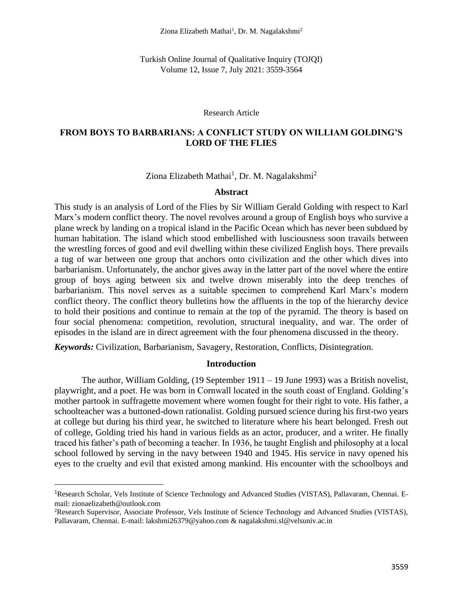Turkish Online Journal of Qualitative Inquiry (TOJQI) Volume 12, Issue 7, July 2021: 3559-3564

#### Research Article

## **FROM BOYS TO BARBARIANS: A CONFLICT STUDY ON WILLIAM GOLDING'S LORD OF THE FLIES**

Ziona Elizabeth Mathai<sup>1</sup>, Dr. M. Nagalakshmi<sup>2</sup>

#### **Abstract**

This study is an analysis of Lord of the Flies by Sir William Gerald Golding with respect to Karl Marx's modern conflict theory. The novel revolves around a group of English boys who survive a plane wreck by landing on a tropical island in the Pacific Ocean which has never been subdued by human habitation. The island which stood embellished with lusciousness soon travails between the wrestling forces of good and evil dwelling within these civilized English boys. There prevails a tug of war between one group that anchors onto civilization and the other which dives into barbarianism. Unfortunately, the anchor gives away in the latter part of the novel where the entire group of boys aging between six and twelve drown miserably into the deep trenches of barbarianism. This novel serves as a suitable specimen to comprehend Karl Marx's modern conflict theory. The conflict theory bulletins how the affluents in the top of the hierarchy device to hold their positions and continue to remain at the top of the pyramid. The theory is based on four social phenomena: competition, revolution, structural inequality, and war. The order of episodes in the island are in direct agreement with the four phenomena discussed in the theory.

*Keywords:* Civilization, Barbarianism, Savagery, Restoration, Conflicts, Disintegration.

#### **Introduction**

The author, William Golding, (19 September 1911 – 19 June 1993) was a British novelist, playwright, and a poet. He was born in Cornwall located in the south coast of England. Golding's mother partook in suffragette movement where women fought for their right to vote. His father, a schoolteacher was a buttoned-down rationalist. Golding pursued science during his first-two years at college but during his third year, he switched to literature where his heart belonged. Fresh out of college, Golding tried his hand in various fields as an actor, producer, and a writer. He finally traced his father's path of becoming a teacher. In 1936, he taught English and philosophy at a local school followed by serving in the navy between 1940 and 1945. His service in navy opened his eyes to the cruelty and evil that existed among mankind. His encounter with the schoolboys and

<sup>1</sup>Research Scholar, Vels Institute of Science Technology and Advanced Studies (VISTAS), Pallavaram, Chennai. Email: zionaelizabeth@outlook.com

<sup>2</sup>Research Supervisor, Associate Professor, Vels Institute of Science Technology and Advanced Studies (VISTAS), Pallavaram, Chennai. E-mail: lakshmi26379@yahoo.com & nagalakshmi.sl@velsuniv.ac.in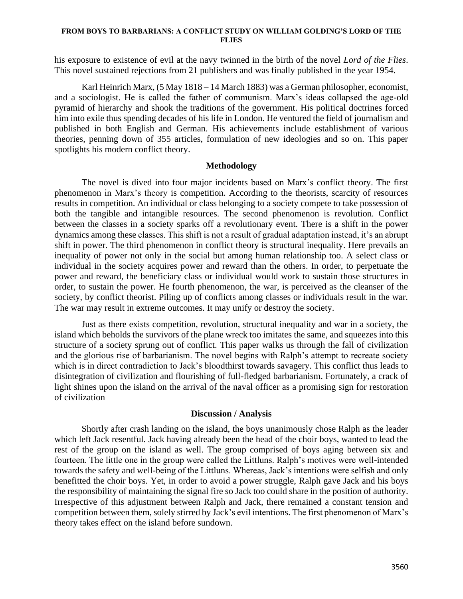#### **FROM BOYS TO BARBARIANS: A CONFLICT STUDY ON WILLIAM GOLDING'S LORD OF THE FLIES**

his exposure to existence of evil at the navy twinned in the birth of the novel *Lord of the Flies*. This novel sustained rejections from 21 publishers and was finally published in the year 1954.

Karl Heinrich Marx, (5 May 1818 – 14 March 1883) was a German philosopher, economist, and a sociologist. He is called the father of communism. Marx's ideas collapsed the age-old pyramid of hierarchy and shook the traditions of the government. His political doctrines forced him into exile thus spending decades of his life in London. He ventured the field of journalism and published in both English and German. His achievements include establishment of various theories, penning down of 355 articles, formulation of new ideologies and so on. This paper spotlights his modern conflict theory.

### **Methodology**

The novel is dived into four major incidents based on Marx's conflict theory. The first phenomenon in Marx's theory is competition. According to the theorists, scarcity of resources results in competition. An individual or class belonging to a society compete to take possession of both the tangible and intangible resources. The second phenomenon is revolution. Conflict between the classes in a society sparks off a revolutionary event. There is a shift in the power dynamics among these classes. This shift is not a result of gradual adaptation instead, it's an abrupt shift in power. The third phenomenon in conflict theory is structural inequality. Here prevails an inequality of power not only in the social but among human relationship too. A select class or individual in the society acquires power and reward than the others. In order, to perpetuate the power and reward, the beneficiary class or individual would work to sustain those structures in order, to sustain the power. He fourth phenomenon, the war, is perceived as the cleanser of the society, by conflict theorist. Piling up of conflicts among classes or individuals result in the war. The war may result in extreme outcomes. It may unify or destroy the society.

Just as there exists competition, revolution, structural inequality and war in a society, the island which beholds the survivors of the plane wreck too imitates the same, and squeezes into this structure of a society sprung out of conflict. This paper walks us through the fall of civilization and the glorious rise of barbarianism. The novel begins with Ralph's attempt to recreate society which is in direct contradiction to Jack's bloodthirst towards savagery. This conflict thus leads to disintegration of civilization and flourishing of full-fledged barbarianism. Fortunately, a crack of light shines upon the island on the arrival of the naval officer as a promising sign for restoration of civilization

#### **Discussion / Analysis**

Shortly after crash landing on the island, the boys unanimously chose Ralph as the leader which left Jack resentful. Jack having already been the head of the choir boys, wanted to lead the rest of the group on the island as well. The group comprised of boys aging between six and fourteen. The little one in the group were called the Littluns. Ralph's motives were well-intended towards the safety and well-being of the Littluns. Whereas, Jack's intentions were selfish and only benefitted the choir boys. Yet, in order to avoid a power struggle, Ralph gave Jack and his boys the responsibility of maintaining the signal fire so Jack too could share in the position of authority. Irrespective of this adjustment between Ralph and Jack, there remained a constant tension and competition between them, solely stirred by Jack's evil intentions. The first phenomenon of Marx's theory takes effect on the island before sundown.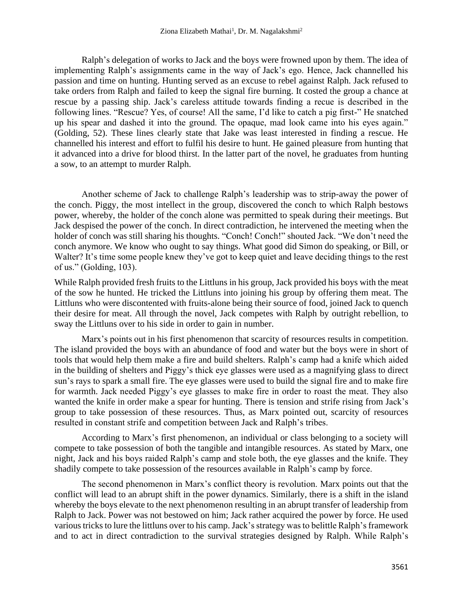Ralph's delegation of works to Jack and the boys were frowned upon by them. The idea of implementing Ralph's assignments came in the way of Jack's ego. Hence, Jack channelled his passion and time on hunting. Hunting served as an excuse to rebel against Ralph. Jack refused to take orders from Ralph and failed to keep the signal fire burning. It costed the group a chance at rescue by a passing ship. Jack's careless attitude towards finding a recue is described in the following lines. "Rescue? Yes, of course! All the same, I'd like to catch a pig first-" He snatched up his spear and dashed it into the ground. The opaque, mad look came into his eyes again." (Golding, 52). These lines clearly state that Jake was least interested in finding a rescue. He channelled his interest and effort to fulfil his desire to hunt. He gained pleasure from hunting that it advanced into a drive for blood thirst. In the latter part of the novel, he graduates from hunting a sow, to an attempt to murder Ralph.

Another scheme of Jack to challenge Ralph's leadership was to strip-away the power of the conch. Piggy, the most intellect in the group, discovered the conch to which Ralph bestows power, whereby, the holder of the conch alone was permitted to speak during their meetings. But Jack despised the power of the conch. In direct contradiction, he intervened the meeting when the holder of conch was still sharing his thoughts. "Conch! Conch!" shouted Jack. "We don't need the conch anymore. We know who ought to say things. What good did Simon do speaking, or Bill, or Walter? It's time some people knew they've got to keep quiet and leave deciding things to the rest of us." (Golding, 103).

While Ralph provided fresh fruits to the Littluns in his group, Jack provided his boys with the meat of the sow he hunted. He tricked the Littluns into joining his group by offering them meat. The Littluns who were discontented with fruits-alone being their source of food, joined Jack to quench their desire for meat. All through the novel, Jack competes with Ralph by outright rebellion, to sway the Littluns over to his side in order to gain in number.

Marx's points out in his first phenomenon that scarcity of resources results in competition. The island provided the boys with an abundance of food and water but the boys were in short of tools that would help them make a fire and build shelters. Ralph's camp had a knife which aided in the building of shelters and Piggy's thick eye glasses were used as a magnifying glass to direct sun's rays to spark a small fire. The eye glasses were used to build the signal fire and to make fire for warmth. Jack needed Piggy's eye glasses to make fire in order to roast the meat. They also wanted the knife in order make a spear for hunting. There is tension and strife rising from Jack's group to take possession of these resources. Thus, as Marx pointed out, scarcity of resources resulted in constant strife and competition between Jack and Ralph's tribes.

According to Marx's first phenomenon, an individual or class belonging to a society will compete to take possession of both the tangible and intangible resources. As stated by Marx, one night, Jack and his boys raided Ralph's camp and stole both, the eye glasses and the knife. They shadily compete to take possession of the resources available in Ralph's camp by force.

The second phenomenon in Marx's conflict theory is revolution. Marx points out that the conflict will lead to an abrupt shift in the power dynamics. Similarly, there is a shift in the island whereby the boys elevate to the next phenomenon resulting in an abrupt transfer of leadership from Ralph to Jack. Power was not bestowed on him; Jack rather acquired the power by force. He used various tricks to lure the littluns over to his camp. Jack's strategy was to belittle Ralph's framework and to act in direct contradiction to the survival strategies designed by Ralph. While Ralph's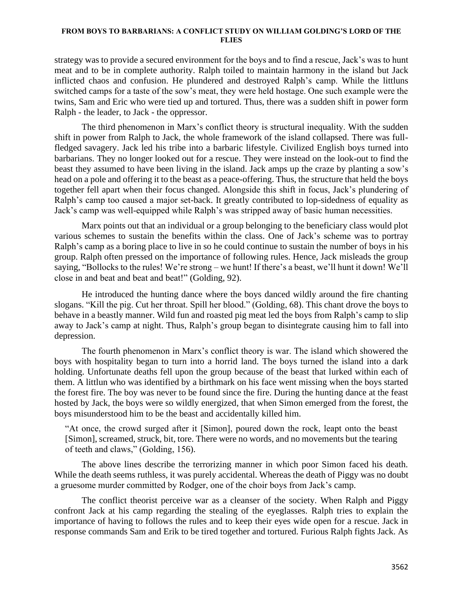#### **FROM BOYS TO BARBARIANS: A CONFLICT STUDY ON WILLIAM GOLDING'S LORD OF THE FLIES**

strategy was to provide a secured environment for the boys and to find a rescue, Jack's was to hunt meat and to be in complete authority. Ralph toiled to maintain harmony in the island but Jack inflicted chaos and confusion. He plundered and destroyed Ralph's camp. While the littluns switched camps for a taste of the sow's meat, they were held hostage. One such example were the twins, Sam and Eric who were tied up and tortured. Thus, there was a sudden shift in power form Ralph - the leader, to Jack - the oppressor.

The third phenomenon in Marx's conflict theory is structural inequality. With the sudden shift in power from Ralph to Jack, the whole framework of the island collapsed. There was fullfledged savagery. Jack led his tribe into a barbaric lifestyle. Civilized English boys turned into barbarians. They no longer looked out for a rescue. They were instead on the look-out to find the beast they assumed to have been living in the island. Jack amps up the craze by planting a sow's head on a pole and offering it to the beast as a peace-offering. Thus, the structure that held the boys together fell apart when their focus changed. Alongside this shift in focus, Jack's plundering of Ralph's camp too caused a major set-back. It greatly contributed to lop-sidedness of equality as Jack's camp was well-equipped while Ralph's was stripped away of basic human necessities.

Marx points out that an individual or a group belonging to the beneficiary class would plot various schemes to sustain the benefits within the class. One of Jack's scheme was to portray Ralph's camp as a boring place to live in so he could continue to sustain the number of boys in his group. Ralph often pressed on the importance of following rules. Hence, Jack misleads the group saying, "Bollocks to the rules! We're strong – we hunt! If there's a beast, we'll hunt it down! We'll close in and beat and beat and beat!" (Golding, 92).

He introduced the hunting dance where the boys danced wildly around the fire chanting slogans. "Kill the pig. Cut her throat. Spill her blood." (Golding, 68). This chant drove the boys to behave in a beastly manner. Wild fun and roasted pig meat led the boys from Ralph's camp to slip away to Jack's camp at night. Thus, Ralph's group began to disintegrate causing him to fall into depression.

The fourth phenomenon in Marx's conflict theory is war. The island which showered the boys with hospitality began to turn into a horrid land. The boys turned the island into a dark holding. Unfortunate deaths fell upon the group because of the beast that lurked within each of them. A littlun who was identified by a birthmark on his face went missing when the boys started the forest fire. The boy was never to be found since the fire. During the hunting dance at the feast hosted by Jack, the boys were so wildly energized, that when Simon emerged from the forest, the boys misunderstood him to be the beast and accidentally killed him.

"At once, the crowd surged after it [Simon], poured down the rock, leapt onto the beast [Simon], screamed, struck, bit, tore. There were no words, and no movements but the tearing of teeth and claws," (Golding, 156).

The above lines describe the terrorizing manner in which poor Simon faced his death. While the death seems ruthless, it was purely accidental. Whereas the death of Piggy was no doubt a gruesome murder committed by Rodger, one of the choir boys from Jack's camp.

The conflict theorist perceive war as a cleanser of the society. When Ralph and Piggy confront Jack at his camp regarding the stealing of the eyeglasses. Ralph tries to explain the importance of having to follows the rules and to keep their eyes wide open for a rescue. Jack in response commands Sam and Erik to be tired together and tortured. Furious Ralph fights Jack. As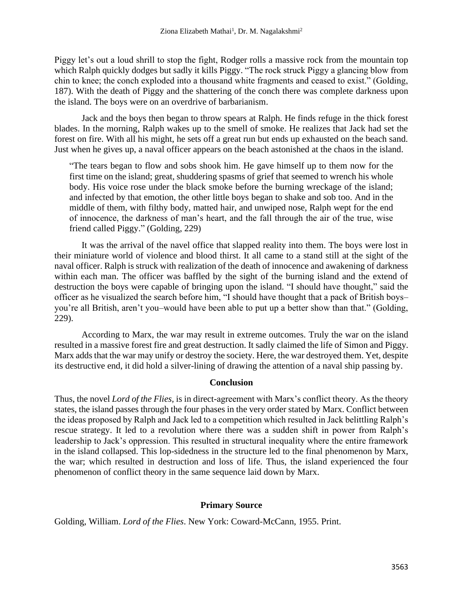Piggy let's out a loud shrill to stop the fight, Rodger rolls a massive rock from the mountain top which Ralph quickly dodges but sadly it kills Piggy. "The rock struck Piggy a glancing blow from chin to knee; the conch exploded into a thousand white fragments and ceased to exist." (Golding, 187). With the death of Piggy and the shattering of the conch there was complete darkness upon the island. The boys were on an overdrive of barbarianism.

Jack and the boys then began to throw spears at Ralph. He finds refuge in the thick forest blades. In the morning, Ralph wakes up to the smell of smoke. He realizes that Jack had set the forest on fire. With all his might, he sets off a great run but ends up exhausted on the beach sand. Just when he gives up, a naval officer appears on the beach astonished at the chaos in the island.

"The tears began to flow and sobs shook him. He gave himself up to them now for the first time on the island; great, shuddering spasms of grief that seemed to wrench his whole body. His voice rose under the black smoke before the burning wreckage of the island; and infected by that emotion, the other little boys began to shake and sob too. And in the middle of them, with filthy body, matted hair, and unwiped nose, Ralph wept for the end of innocence, the darkness of man's heart, and the fall through the air of the true, wise friend called Piggy." (Golding, 229)

It was the arrival of the navel office that slapped reality into them. The boys were lost in their miniature world of violence and blood thirst. It all came to a stand still at the sight of the naval officer. Ralph is struck with realization of the death of innocence and awakening of darkness within each man. The officer was baffled by the sight of the burning island and the extend of destruction the boys were capable of bringing upon the island. "I should have thought," said the officer as he visualized the search before him, "I should have thought that a pack of British boys– you're all British, aren't you–would have been able to put up a better show than that." (Golding, 229).

According to Marx, the war may result in extreme outcomes. Truly the war on the island resulted in a massive forest fire and great destruction. It sadly claimed the life of Simon and Piggy. Marx adds that the war may unify or destroy the society. Here, the war destroyed them. Yet, despite its destructive end, it did hold a silver-lining of drawing the attention of a naval ship passing by.

## **Conclusion**

Thus, the novel *Lord of the Flies,* is in direct-agreement with Marx's conflict theory. As the theory states, the island passes through the four phases in the very order stated by Marx. Conflict between the ideas proposed by Ralph and Jack led to a competition which resulted in Jack belittling Ralph's rescue strategy. It led to a revolution where there was a sudden shift in power from Ralph's leadership to Jack's oppression. This resulted in structural inequality where the entire framework in the island collapsed. This lop-sidedness in the structure led to the final phenomenon by Marx, the war; which resulted in destruction and loss of life. Thus, the island experienced the four phenomenon of conflict theory in the same sequence laid down by Marx.

# **Primary Source**

Golding, William. *Lord of the Flies*. New York: Coward-McCann, 1955. Print.